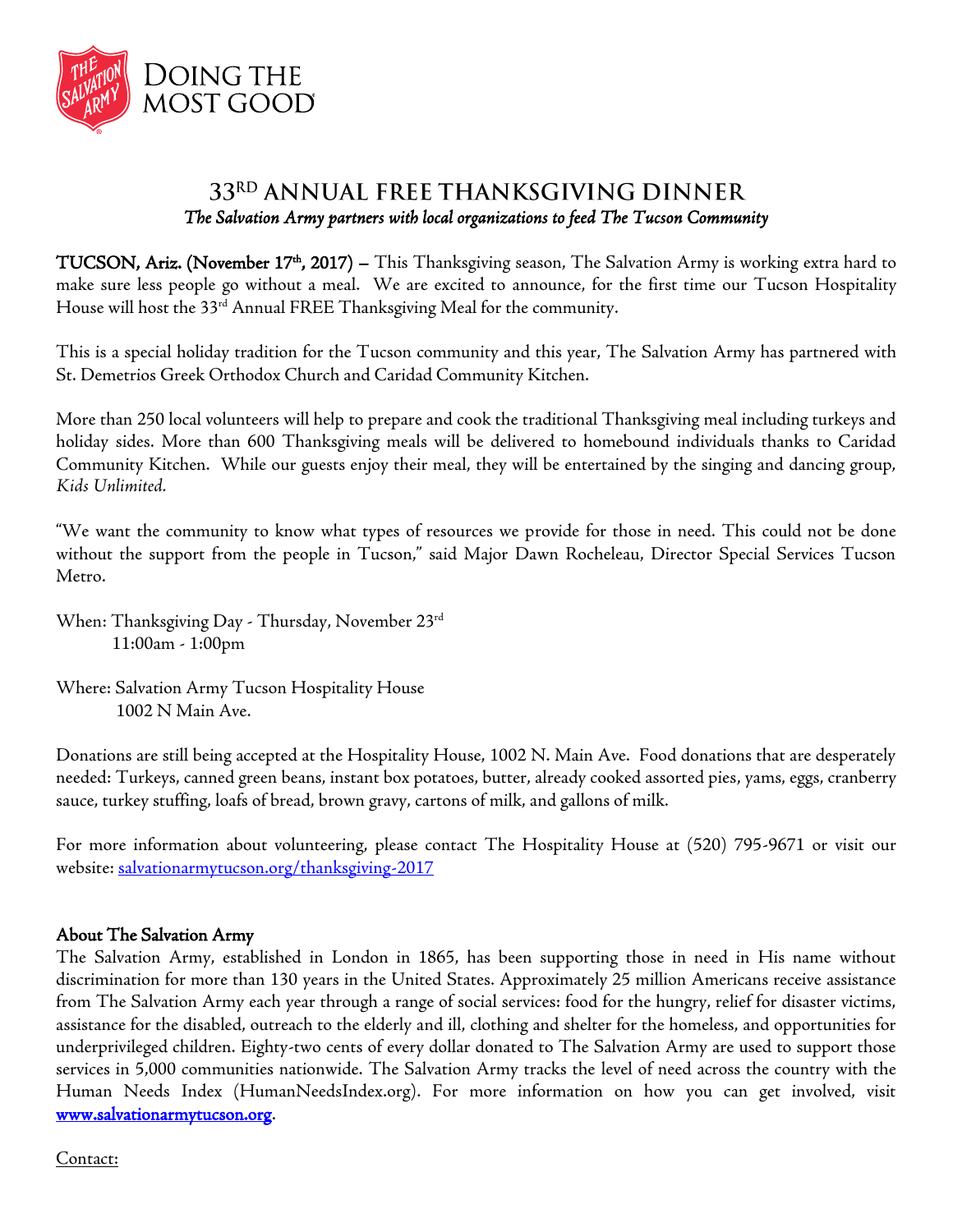

## 33RD ANNUAL FREE THANKSGIVING DINNER *The Salvation Army partners with local organizations to feed The Tucson Community*

TUCSON, Ariz. (November 17<sup>th</sup>, 2017) – This Thanksgiving season, The Salvation Army is working extra hard to make sure less people go without a meal. We are excited to announce, for the first time our Tucson Hospitality House will host the 33<sup>rd</sup> Annual FREE Thanksgiving Meal for the community.

This is a special holiday tradition for the Tucson community and this year, The Salvation Army has partnered with St. Demetrios Greek Orthodox Church and Caridad Community Kitchen.

More than 250 local volunteers will help to prepare and cook the traditional Thanksgiving meal including turkeys and holiday sides. More than 600 Thanksgiving meals will be delivered to homebound individuals thanks to Caridad Community Kitchen. While our guests enjoy their meal, they will be entertained by the singing and dancing group, *Kids Unlimited.* 

"We want the community to know what types of resources we provide for those in need. This could not be done without the support from the people in Tucson," said Major Dawn Rocheleau, Director Special Services Tucson Metro.

When: Thanksgiving Day - Thursday, November 23rd 11:00am - 1:00pm

Where: Salvation Army Tucson Hospitality House 1002 N Main Ave.

Donations are still being accepted at the Hospitality House, 1002 N. Main Ave. Food donations that are desperately needed: Turkeys, canned green beans, instant box potatoes, butter, already cooked assorted pies, yams, eggs, cranberry sauce, turkey stuffing, loafs of bread, brown gravy, cartons of milk, and gallons of milk.

For more information about volunteering, please contact The Hospitality House at (520) 795-9671 or visit our website: [salvationarmytucson.org/thanksgiving-2017](http://www.salvationarmytucson.org/thanksgiving-2017)

## About The Salvation Army

The Salvation Army, established in London in 1865, has been supporting those in need in His name without discrimination for more than 130 years in the United States. Approximately 25 million Americans receive assistance from The Salvation Army each year through a range of social services: food for the hungry, relief for disaster victims, assistance for the disabled, outreach to the elderly and ill, clothing and shelter for the homeless, and opportunities for underprivileged children. Eighty-two cents of every dollar donated to The Salvation Army are used to support those services in 5,000 communities nationwide. The Salvation Army tracks the level of need across the country with the Human Needs Index (HumanNeedsIndex.org). For more information on how you can get involved, visit [www.salvationarmytucson.org.](http://www.salvationarmytucson.org/)

Contact: